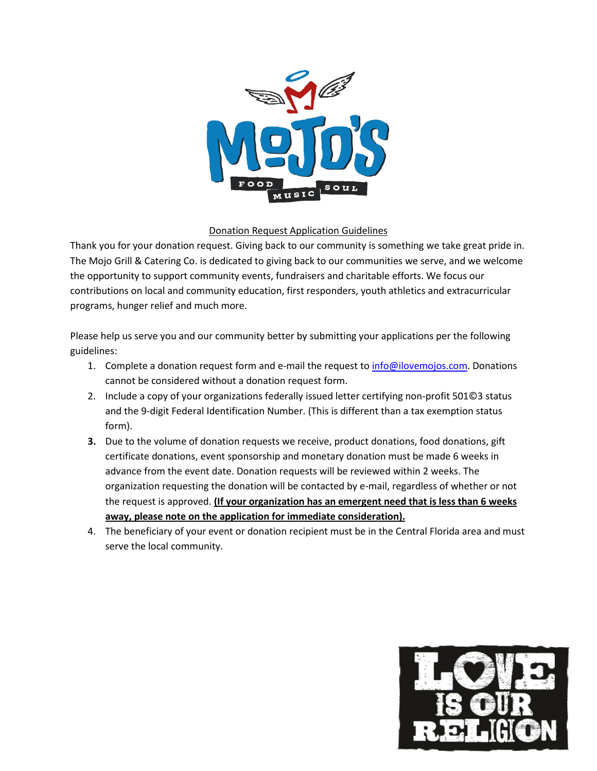

## Donation Request Application Guidelines

Thank you for your donation request. Giving back to our community is something we take great pride in. The Mojo Grill & Catering Co. is dedicated to giving back to our communities we serve, and we welcome the opportunity to support community events, fundraisers and charitable efforts. We focus our contributions on local and community education, first responders, youth athletics and extracurricular programs, hunger relief and much more.

Please help us serve you and our community better by submitting your applications per the following guidelines:

- 1. Complete a donation request form and e-mail the request t[o info@ilovemojos.com.](mailto:info@ilovemojos.com) Donations cannot be considered without a donation request form.
- 2. Include a copy of your organizations federally issued letter certifying non-profit 501©3 status and the 9-digit Federal Identification Number. (This is different than a tax exemption status form).
- **3.** Due to the volume of donation requests we receive, product donations, food donations, gift certificate donations, event sponsorship and monetary donation must be made 6 weeks in advance from the event date. Donation requests will be reviewed within 2 weeks. The organization requesting the donation will be contacted by e-mail, regardless of whether or not the request is approved. **(If your organization has an emergent need that is less than 6 weeks away, please note on the application for immediate consideration).**
- 4. The beneficiary of your event or donation recipient must be in the Central Florida area and must serve the local community.